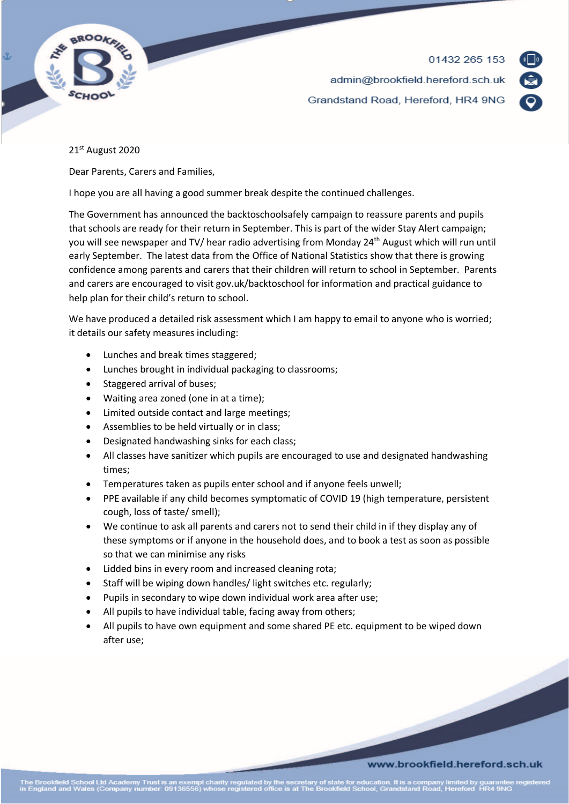

01432 265 153 admin@brookfield.hereford.sch.uk Grandstand Road, Hereford, HR4 9NG



## 21st August 2020

Dear Parents, Carers and Families,

I hope you are all having a good summer break despite the continued challenges.

The Government has announced the backtoschoolsafely campaign to reassure parents and pupils that schools are ready for their return in September. This is part of the wider Stay Alert campaign; you will see newspaper and TV/ hear radio advertising from Monday 24<sup>th</sup> August which will run until early September. The latest data from the Office of National Statistics show that there is growing confidence among parents and carers that their children will return to school in September. Parents and carers are encouraged to visit gov.uk/backtoschool for information and practical guidance to help plan for their child's return to school.

We have produced a detailed risk assessment which I am happy to email to anyone who is worried; it details our safety measures including:

- Lunches and break times staggered;
- Lunches brought in individual packaging to classrooms;
- Staggered arrival of buses;
- Waiting area zoned (one in at a time);
- Limited outside contact and large meetings;
- Assemblies to be held virtually or in class;
- Designated handwashing sinks for each class;
- All classes have sanitizer which pupils are encouraged to use and designated handwashing times;
- Temperatures taken as pupils enter school and if anyone feels unwell;
- PPE available if any child becomes symptomatic of COVID 19 (high temperature, persistent cough, loss of taste/ smell);
- We continue to ask all parents and carers not to send their child in if they display any of these symptoms or if anyone in the household does, and to book a test as soon as possible so that we can minimise any risks
- Lidded bins in every room and increased cleaning rota;
- Staff will be wiping down handles/ light switches etc. regularly;
- Pupils in secondary to wipe down individual work area after use;
- All pupils to have individual table, facing away from others;
- All pupils to have own equipment and some shared PE etc. equipment to be wiped down after use;

## www.brookfield.hereford.sch.uk